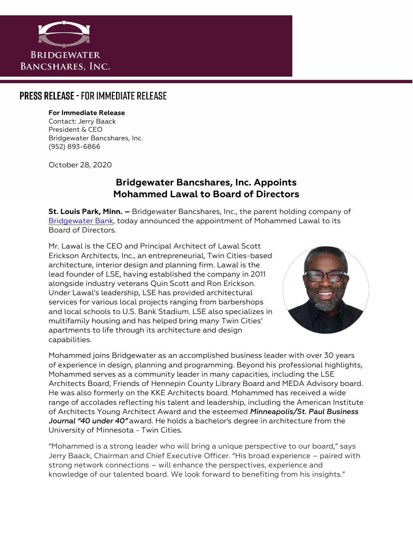

## **PRESS RELEASE - FOR IMMEDIATE RELEASE**

#### **For Immediate Release**

Contact: Jerry Baack President & CEO Bridgewater Bancshares, Inc. (952) 893-6866

October 28, 2020

### **Bridgewater Bancshares, Inc. Appoints Mohammed Lawal to Board of Directors**

**St. Louis Park, Minn. –** Bridgewater Bancshares, Inc., the parent holding company of [Bridgewater Bank,](https://bridgewaterbankmn.com/) today announced the appointment of Mohammed Lawal to its Board of Directors.

Mr. Lawal is the CEO and Principal Architect of Lawal Scott Erickson Architects, Inc., an entrepreneurial, Twin Cities-based architecture, interior design and planning firm. Lawal is the lead founder of LSE, having established the company in 2011 alongside industry veterans Quin Scott and Ron Erickson. Under Lawal's leadership, LSE has provided architectural services for various local projects ranging from barbershops and local schools to U.S. Bank Stadium. LSE also specializes in multifamily housing and has helped bring many Twin Cities' apartments to life through its architecture and design capabilities.



Mohammed joins Bridgewater as an accomplished business leader with over 30 years of experience in design, planning and programming. Beyond his professional highlights, Mohammed serves as a community leader in many capacities, including the LSE Architects Board, Friends of Hennepin County Library Board and MEDA Advisory board. He was also formerly on the KKE Architects board. Mohammed has received a wide range of accolades reflecting his talent and leadership, including the American Institute of Architects Young Architect Award and the esteemed *Minneapolis/St. Paul Business Journal "40 under 40"* award. He holds a bachelor's degree in architecture from the University of Minnesota - Twin Cities.

"Mohammed is a strong leader who will bring a unique perspective to our board," says Jerry Baack, Chairman and Chief Executive Officer. "His broad experience – paired with strong network connections – will enhance the perspectives, experience and knowledge of our talented board. We look forward to benefiting from his insights."